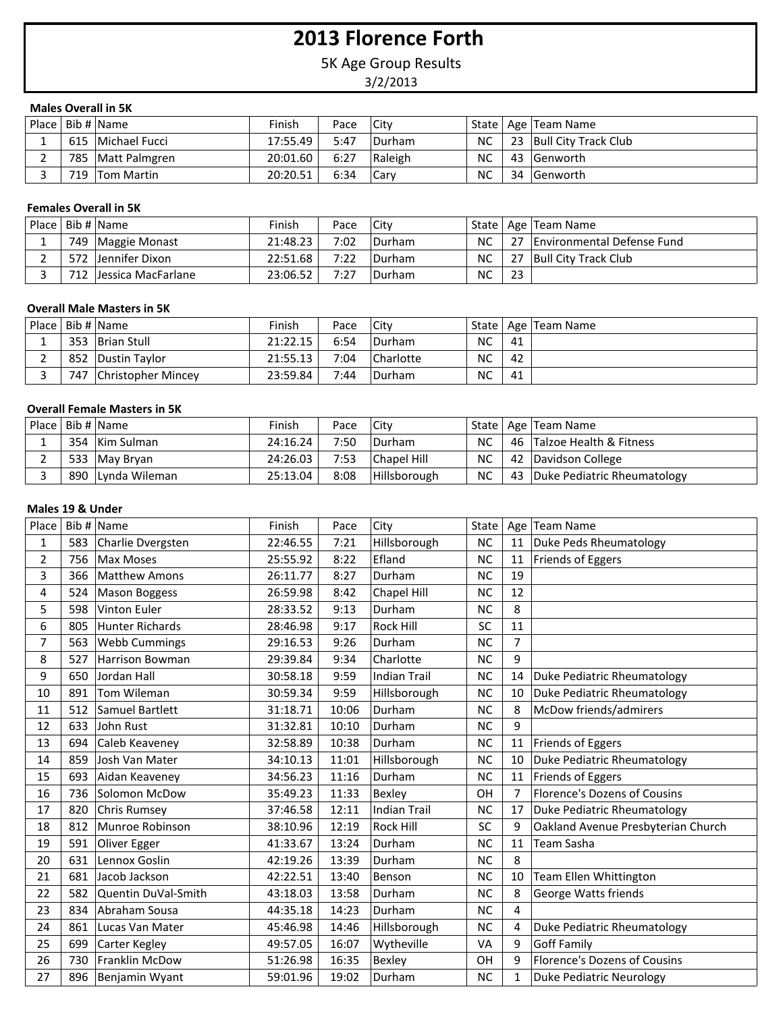# **2013 Florence Forth**

5K Age Group Results

3/2/2013

# **Males Overall in 5K**

|  | Place   Bib #   Name | Finish   | Pace | <b>City</b>   |           | State   Age   Team Name          |
|--|----------------------|----------|------|---------------|-----------|----------------------------------|
|  | 615   Michael Fucci  | 17:55.49 | 5:47 | <b>Durham</b> |           | $NC$   23   Bull City Track Club |
|  | 785   Matt Palmgren  | 20:01.60 | 6:27 | Raleigh       | NC.       | 43  Genworth                     |
|  | 719 Tom Martin       | 20:20.51 | 6:34 | <b>Carv</b>   | <b>NC</b> | 34  Genworth                     |

#### **Females Overall in 5K**

|  | Place   Bib #   Name    | Finish   | Pace | <b>City</b> |           |     | State   Age   Team Name    |
|--|-------------------------|----------|------|-------------|-----------|-----|----------------------------|
|  | 749   Maggie Monast     | 21:48.23 | 7:02 | Durham      | <b>NC</b> | -27 | Environmental Defense Fund |
|  | 572 Jennifer Dixon      | 22:51.68 | 7:22 | Durham      | NC.       | -27 | Bull City Track Club       |
|  | 712 IJessica MacFarlane | 23:06.52 | 7:27 | Durham      | <b>NC</b> | 23  |                            |

#### **Overall Male Masters in 5K**

|  | Place   Bib #   Name   | Finish   | Pace | City           |    |    | State   Age   Team Name |
|--|------------------------|----------|------|----------------|----|----|-------------------------|
|  | 353 Brian Stull        | 21:22.15 | 6:54 | <b>IDurham</b> | NC | 41 |                         |
|  | 852 Dustin Taylor      | 21:55.13 | 7:04 | Charlotte      | NC | 42 |                         |
|  | 747 Christopher Mincey | 23:59.84 | 7:44 | <b>IDurham</b> | NC | 41 |                         |

# **Overall Female Masters in 5K**

|  | Place   Bib #   Name | Finish   | Pace | Citv                |           | State   Age   Team Name        |
|--|----------------------|----------|------|---------------------|-----------|--------------------------------|
|  | 354 Kim Sulman       | 24:16.24 | 7:50 | <b>Durham</b>       | <b>NC</b> | 46 Talzoe Health & Fitness     |
|  | 533   May Bryan      | 24:26.03 | 7:53 | Chapel Hill         | NC        | 42 Davidson College            |
|  | 890 Lynda Wileman    | 25:13.04 | 8:08 | <b>Hillsborough</b> | NC.       | 43 Duke Pediatric Rheumatology |

# **Males 19 & Under**

| Place          |     | Bib # Name             | Finish   | Pace  | City                | State     |                | Age   Team Name                     |
|----------------|-----|------------------------|----------|-------|---------------------|-----------|----------------|-------------------------------------|
| 1              | 583 | Charlie Dvergsten      | 22:46.55 | 7:21  | Hillsborough        | <b>NC</b> | 11             | Duke Peds Rheumatology              |
| $\overline{2}$ | 756 | <b>Max Moses</b>       | 25:55.92 | 8:22  | Efland              | <b>NC</b> | 11             | Friends of Eggers                   |
| 3              | 366 | <b>Matthew Amons</b>   | 26:11.77 | 8:27  | Durham              | <b>NC</b> | 19             |                                     |
| 4              | 524 | <b>Mason Boggess</b>   | 26:59.98 | 8:42  | Chapel Hill         | <b>NC</b> | 12             |                                     |
| 5              | 598 | Vinton Euler           | 28:33.52 | 9:13  | Durham              | <b>NC</b> | 8              |                                     |
| 6              | 805 | <b>Hunter Richards</b> | 28:46.98 | 9:17  | <b>Rock Hill</b>    | SC        | 11             |                                     |
| $\overline{7}$ | 563 | <b>Webb Cummings</b>   | 29:16.53 | 9:26  | Durham              | <b>NC</b> | 7              |                                     |
| 8              | 527 | <b>Harrison Bowman</b> | 29:39.84 | 9:34  | Charlotte           | <b>NC</b> | 9              |                                     |
| 9              | 650 | Jordan Hall            | 30:58.18 | 9:59  | <b>Indian Trail</b> | <b>NC</b> | 14             | Duke Pediatric Rheumatology         |
| 10             | 891 | Tom Wileman            | 30:59.34 | 9:59  | Hillsborough        | <b>NC</b> | 10             | Duke Pediatric Rheumatology         |
| 11             | 512 | Samuel Bartlett        | 31:18.71 | 10:06 | Durham              | <b>NC</b> | 8              | McDow friends/admirers              |
| 12             | 633 | John Rust              | 31:32.81 | 10:10 | Durham              | <b>NC</b> | 9              |                                     |
| 13             | 694 | Caleb Keaveney         | 32:58.89 | 10:38 | Durham              | <b>NC</b> | 11             | Friends of Eggers                   |
| 14             | 859 | Josh Van Mater         | 34:10.13 | 11:01 | Hillsborough        | <b>NC</b> | 10             | Duke Pediatric Rheumatology         |
| 15             | 693 | Aidan Keaveney         | 34:56.23 | 11:16 | Durham              | <b>NC</b> | 11             | Friends of Eggers                   |
| 16             | 736 | Solomon McDow          | 35:49.23 | 11:33 | Bexley              | OH        | $\overline{7}$ | <b>Florence's Dozens of Cousins</b> |
| 17             | 820 | <b>Chris Rumsey</b>    | 37:46.58 | 12:11 | <b>Indian Trail</b> | <b>NC</b> | 17             | Duke Pediatric Rheumatology         |
| 18             | 812 | Munroe Robinson        | 38:10.96 | 12:19 | <b>Rock Hill</b>    | SC        | 9              | Oakland Avenue Presbyterian Church  |
| 19             | 591 | Oliver Egger           | 41:33.67 | 13:24 | Durham              | <b>NC</b> | 11             | <b>Team Sasha</b>                   |
| 20             | 631 | Lennox Goslin          | 42:19.26 | 13:39 | Durham              | <b>NC</b> | 8              |                                     |
| 21             | 681 | Jacob Jackson          | 42:22.51 | 13:40 | Benson              | <b>NC</b> | 10             | Team Ellen Whittington              |
| 22             | 582 | Quentin DuVal-Smith    | 43:18.03 | 13:58 | Durham              | <b>NC</b> | 8              | George Watts friends                |
| 23             | 834 | Abraham Sousa          | 44:35.18 | 14:23 | Durham              | <b>NC</b> | 4              |                                     |
| 24             | 861 | Lucas Van Mater        | 45:46.98 | 14:46 | Hillsborough        | <b>NC</b> | 4              | Duke Pediatric Rheumatology         |
| 25             | 699 | Carter Kegley          | 49:57.05 | 16:07 | Wytheville          | VA        | 9              | <b>Goff Family</b>                  |
| 26             | 730 | Franklin McDow         | 51:26.98 | 16:35 | Bexley              | OH        | 9              | <b>Florence's Dozens of Cousins</b> |
| 27             | 896 | Benjamin Wyant         | 59:01.96 | 19:02 | Durham              | <b>NC</b> | 1              | Duke Pediatric Neurology            |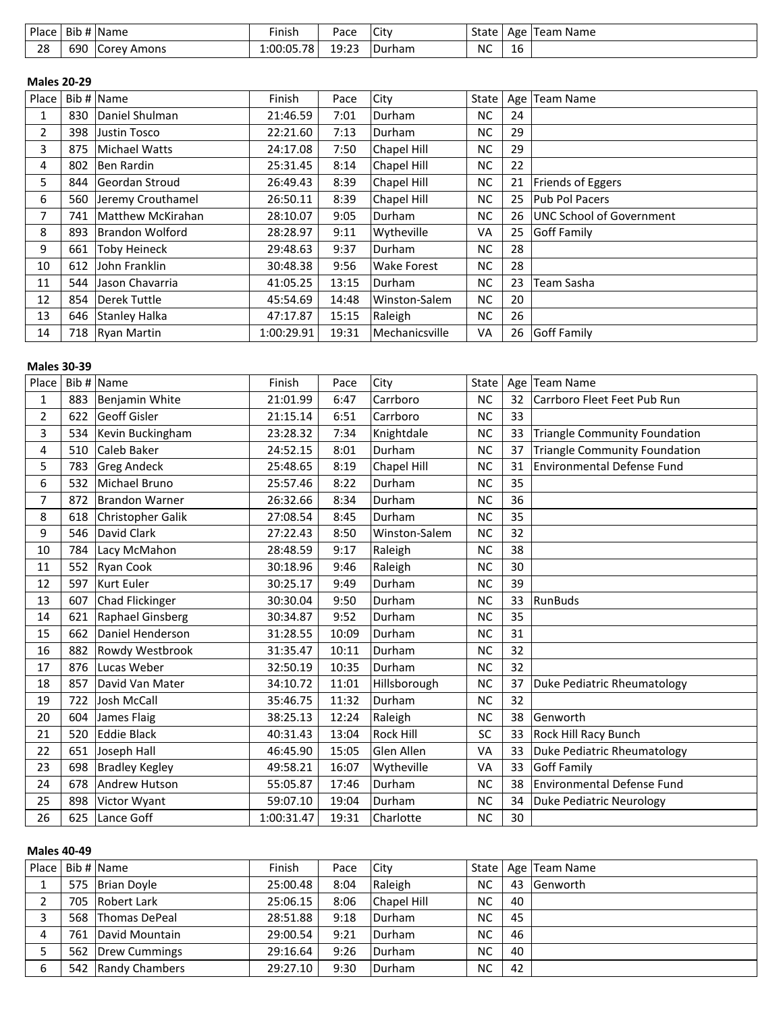| Place | $\sim$<br>Bit | <sup>4</sup> Name | Finish     | Pace         | City   | State | Age                            | <b>Name</b><br>feam |
|-------|---------------|-------------------|------------|--------------|--------|-------|--------------------------------|---------------------|
| 28    | 69C           | Amons<br>Corev    | 1:00:05.78 | 0.23<br>---- | Durham | NC    | $\overline{\phantom{a}}$<br>тp |                     |

### **Males 20-29**

| Place          |     | Bib # $\vert$ Name     | Finish     | Pace  | City               | State |    | Age   Team Name          |
|----------------|-----|------------------------|------------|-------|--------------------|-------|----|--------------------------|
| 1              | 830 | Daniel Shulman         | 21:46.59   | 7:01  | Durham             | NC.   | 24 |                          |
| $\overline{2}$ | 398 | Justin Tosco           | 22:21.60   | 7:13  | Durham             | NC.   | 29 |                          |
| 3              | 875 | Michael Watts          | 24:17.08   | 7:50  | Chapel Hill        | NC.   | 29 |                          |
| 4              | 802 | Ben Rardin             | 25:31.45   | 8:14  | Chapel Hill        | NC.   | 22 |                          |
| 5.             | 844 | Geordan Stroud         | 26:49.43   | 8:39  | Chapel Hill        | NC.   | 21 | Friends of Eggers        |
| 6              | 560 | Jeremy Crouthamel      | 26:50.11   | 8:39  | Chapel Hill        | NC.   | 25 | <b>Pub Pol Pacers</b>    |
| $\overline{7}$ | 741 | Matthew McKirahan      | 28:10.07   | 9:05  | Durham             | NC.   | 26 | UNC School of Government |
| 8              | 893 | <b>Brandon Wolford</b> | 28:28.97   | 9:11  | Wytheville         | VA    | 25 | Goff Family              |
| 9              | 661 | <b>Toby Heineck</b>    | 29:48.63   | 9:37  | Durham             | NC.   | 28 |                          |
| 10             | 612 | John Franklin          | 30:48.38   | 9:56  | <b>Wake Forest</b> | NC.   | 28 |                          |
| 11             | 544 | Jason Chavarria        | 41:05.25   | 13:15 | Durham             | NC.   | 23 | Team Sasha               |
| 12             | 854 | Derek Tuttle           | 45:54.69   | 14:48 | Winston-Salem      | NC.   | 20 |                          |
| 13             | 646 | Stanley Halka          | 47:17.87   | 15:15 | Raleigh            | NC.   | 26 |                          |
| 14             |     | 718 Ryan Martin        | 1:00:29.91 | 19:31 | Mechanicsville     | VA    | 26 | Goff Family              |

# **Males 30-39**

| Place          |     | Bib # Name            | Finish     | Pace  | City          | State     |    | Age   Team Name                      |
|----------------|-----|-----------------------|------------|-------|---------------|-----------|----|--------------------------------------|
| 1              | 883 | Benjamin White        | 21:01.99   | 6:47  | Carrboro      | <b>NC</b> | 32 | Carrboro Fleet Feet Pub Run          |
| $\overline{2}$ | 622 | Geoff Gisler          | 21:15.14   | 6:51  | Carrboro      | <b>NC</b> | 33 |                                      |
| 3              | 534 | Kevin Buckingham      | 23:28.32   | 7:34  | Knightdale    | <b>NC</b> | 33 | <b>Triangle Community Foundation</b> |
| 4              | 510 | Caleb Baker           | 24:52.15   | 8:01  | Durham        | <b>NC</b> | 37 | <b>Triangle Community Foundation</b> |
| 5              | 783 | <b>Greg Andeck</b>    | 25:48.65   | 8:19  | Chapel Hill   | <b>NC</b> | 31 | <b>Environmental Defense Fund</b>    |
| 6              | 532 | Michael Bruno         | 25:57.46   | 8:22  | Durham        | <b>NC</b> | 35 |                                      |
| 7              | 872 | <b>Brandon Warner</b> | 26:32.66   | 8:34  | Durham        | <b>NC</b> | 36 |                                      |
| 8              | 618 | Christopher Galik     | 27:08.54   | 8:45  | Durham        | <b>NC</b> | 35 |                                      |
| 9              | 546 | David Clark           | 27:22.43   | 8:50  | Winston-Salem | <b>NC</b> | 32 |                                      |
| 10             | 784 | Lacy McMahon          | 28:48.59   | 9:17  | Raleigh       | <b>NC</b> | 38 |                                      |
| 11             | 552 | Ryan Cook             | 30:18.96   | 9:46  | Raleigh       | <b>NC</b> | 30 |                                      |
| 12             | 597 | <b>Kurt Euler</b>     | 30:25.17   | 9:49  | Durham        | <b>NC</b> | 39 |                                      |
| 13             | 607 | Chad Flickinger       | 30:30.04   | 9:50  | Durham        | <b>NC</b> | 33 | RunBuds                              |
| 14             | 621 | Raphael Ginsberg      | 30:34.87   | 9:52  | Durham        | <b>NC</b> | 35 |                                      |
| 15             | 662 | Daniel Henderson      | 31:28.55   | 10:09 | Durham        | <b>NC</b> | 31 |                                      |
| 16             | 882 | Rowdy Westbrook       | 31:35.47   | 10:11 | Durham        | <b>NC</b> | 32 |                                      |
| 17             | 876 | Lucas Weber           | 32:50.19   | 10:35 | Durham        | <b>NC</b> | 32 |                                      |
| 18             | 857 | David Van Mater       | 34:10.72   | 11:01 | Hillsborough  | <b>NC</b> | 37 | Duke Pediatric Rheumatology          |
| 19             | 722 | <b>Josh McCall</b>    | 35:46.75   | 11:32 | Durham        | <b>NC</b> | 32 |                                      |
| 20             | 604 | James Flaig           | 38:25.13   | 12:24 | Raleigh       | <b>NC</b> | 38 | Genworth                             |
| 21             | 520 | <b>Eddie Black</b>    | 40:31.43   | 13:04 | Rock Hill     | SC        | 33 | Rock Hill Racy Bunch                 |
| 22             | 651 | Joseph Hall           | 46:45.90   | 15:05 | Glen Allen    | VA        | 33 | Duke Pediatric Rheumatology          |
| 23             | 698 | <b>Bradley Kegley</b> | 49:58.21   | 16:07 | Wytheville    | VA        | 33 | Goff Family                          |
| 24             | 678 | Andrew Hutson         | 55:05.87   | 17:46 | Durham        | <b>NC</b> | 38 | Environmental Defense Fund           |
| 25             | 898 | Victor Wyant          | 59:07.10   | 19:04 | Durham        | <b>NC</b> | 34 | <b>Duke Pediatric Neurology</b>      |
| 26             | 625 | Lance Goff            | 1:00:31.47 | 19:31 | Charlotte     | <b>NC</b> | 30 |                                      |

# **Males 40-49**

|   | Place   Bib #   Name | Finish   | Pace | City        |           |    | State   Age   Team Name |
|---|----------------------|----------|------|-------------|-----------|----|-------------------------|
|   | 575 Brian Doyle      | 25:00.48 | 8:04 | Raleigh     | <b>NC</b> |    | 43 Genworth             |
|   | 705 Robert Lark      | 25:06.15 | 8:06 | Chapel Hill | <b>NC</b> | 40 |                         |
|   | 568 Thomas DePeal    | 28:51.88 | 9:18 | Durham      | <b>NC</b> | 45 |                         |
| 4 | 761 David Mountain   | 29:00.54 | 9:21 | Durham      | <b>NC</b> | 46 |                         |
|   | 562   Drew Cummings  | 29:16.64 | 9:26 | Durham      | <b>NC</b> | 40 |                         |
| 6 | 542 Randy Chambers   | 29:27.10 | 9:30 | Durham      | <b>NC</b> | 42 |                         |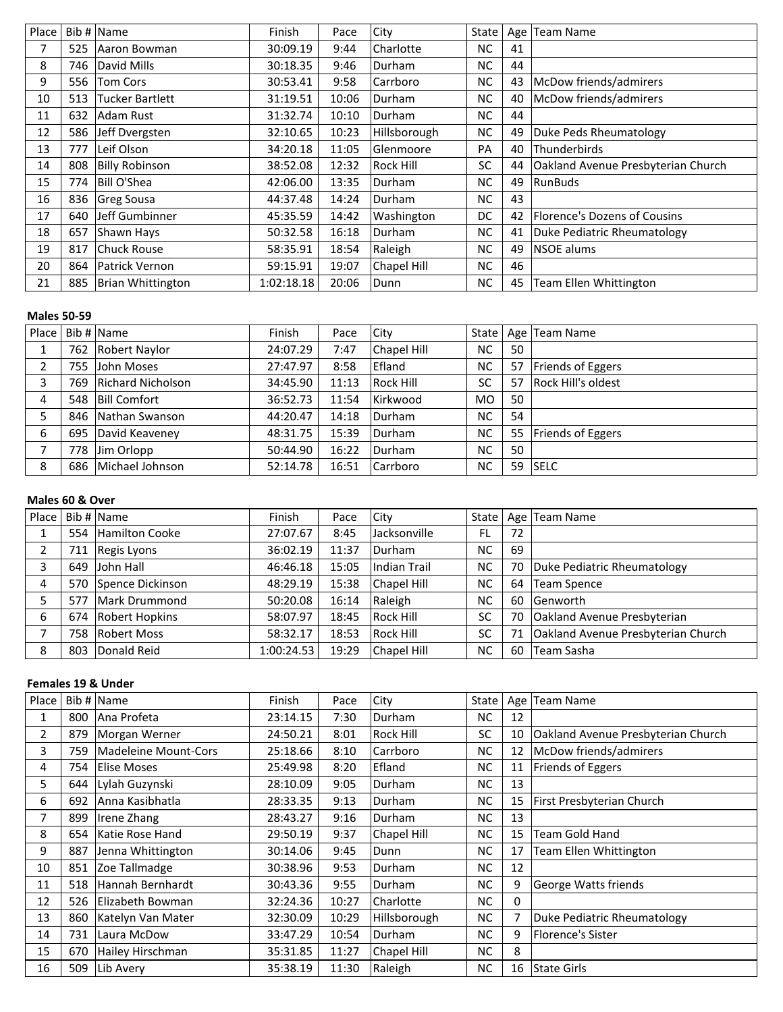| Place |     | Bib # $\vert$ Name     | Finish     | Pace  | City         | State     |    | Age   Team Name                           |
|-------|-----|------------------------|------------|-------|--------------|-----------|----|-------------------------------------------|
|       | 525 | Aaron Bowman           | 30:09.19   | 9:44  | Charlotte    | <b>NC</b> | 41 |                                           |
| 8     | 746 | David Mills            | 30:18.35   | 9:46  | Durham       | NC.       | 44 |                                           |
| 9     | 556 | <b>Tom Cors</b>        | 30:53.41   | 9:58  | Carrboro     | NC        | 43 | McDow friends/admirers                    |
| 10    | 513 | <b>Tucker Bartlett</b> | 31:19.51   | 10:06 | Durham       | <b>NC</b> | 40 | McDow friends/admirers                    |
| 11    | 632 | Adam Rust              | 31:32.74   | 10:10 | Durham       | <b>NC</b> | 44 |                                           |
| 12    | 586 | Jeff Dvergsten         | 32:10.65   | 10:23 | Hillsborough | <b>NC</b> | 49 | Duke Peds Rheumatology                    |
| 13    | 777 | Leif Olson             | 34:20.18   | 11:05 | Glenmoore    | PA        | 40 | Thunderbirds                              |
| 14    | 808 | <b>Billy Robinson</b>  | 38:52.08   | 12:32 | Rock Hill    | SC        | 44 | <b>Oakland Avenue Presbyterian Church</b> |
| 15    | 774 | Bill O'Shea            | 42:06.00   | 13:35 | Durham       | <b>NC</b> | 49 | RunBuds                                   |
| 16    | 836 | Greg Sousa             | 44:37.48   | 14:24 | Durham       | <b>NC</b> | 43 |                                           |
| 17    | 640 | Jeff Gumbinner         | 45:35.59   | 14:42 | Washington   | DC        | 42 | Florence's Dozens of Cousins              |
| 18    | 657 | Shawn Hays             | 50:32.58   | 16:18 | Durham       | NC.       | 41 | Duke Pediatric Rheumatology               |
| 19    | 817 | Chuck Rouse            | 58:35.91   | 18:54 | Raleigh      | <b>NC</b> | 49 | NSOE alums                                |
| 20    | 864 | Patrick Vernon         | 59:15.91   | 19:07 | Chapel Hill  | <b>NC</b> | 46 |                                           |
| 21    | 885 | Brian Whittington      | 1:02:18.18 | 20:06 | Dunn         | NC.       | 45 | Team Ellen Whittington                    |

#### **Males 50-59**

| Place        |     | Bib $\#$ Name            | Finish   | Pace  | City             |           |    | State   Age   Team Name  |
|--------------|-----|--------------------------|----------|-------|------------------|-----------|----|--------------------------|
|              | 762 | Robert Naylor            | 24:07.29 | 7:47  | Chapel Hill      | <b>NC</b> | 50 |                          |
| $\mathbf{2}$ |     | 755 John Moses           | 27:47.97 | 8:58  | Efland           | <b>NC</b> | 57 | Friends of Eggers        |
| 3            | 769 | <b>Richard Nicholson</b> | 34:45.90 | 11:13 | <b>Rock Hill</b> | <b>SC</b> | 57 | Rock Hill's oldest       |
| 4            |     | 548   Bill Comfort       | 36:52.73 | 11:54 | Kirkwood         | <b>MO</b> | 50 |                          |
|              |     | 846 Nathan Swanson       | 44:20.47 | 14:18 | Durham           | <b>NC</b> | 54 |                          |
| 6            | 695 | David Keaveney           | 48:31.75 | 15:39 | Durham           | <b>NC</b> | 55 | <b>Friends of Eggers</b> |
|              |     | 778 Jim Orlopp           | 50:44.90 | 16:22 | Durham           | <b>NC</b> | 50 |                          |
| 8            |     | 686 Michael Johnson      | 52:14.78 | 16:51 | Carrboro         | NC        | 59 | <b>SELC</b>              |

#### **Males 60 & Over**

| Place |     | Bib # Name            | Finish     | Pace  | City               |           |    | State   Age   Team Name            |
|-------|-----|-----------------------|------------|-------|--------------------|-----------|----|------------------------------------|
|       | 554 | <b>Hamilton Cooke</b> | 27:07.67   | 8:45  | Jacksonville       | FL        | 72 |                                    |
| 2     |     | 711 Regis Lyons       | 36:02.19   | 11:37 | Durham             | NC        | 69 |                                    |
| 3     |     | 649 John Hall         | 46:46.18   | 15:05 | Indian Trail       | NC        | 70 | Duke Pediatric Rheumatology        |
| 4     |     | 570 Spence Dickinson  | 48:29.19   | 15:38 | Chapel Hill        | <b>NC</b> | 64 | Team Spence                        |
|       | 577 | Mark Drummond         | 50:20.08   | 16:14 | Raleigh            | <b>NC</b> | 60 | <b>Genworth</b>                    |
| 6     | 674 | Robert Hopkins        | 58:07.97   | 18:45 | <b>Rock Hill</b>   | SC        | 70 | Oakland Avenue Presbyterian        |
|       | 758 | <b>Robert Moss</b>    | 58:32.17   | 18:53 | Rock Hill          | <b>SC</b> | 71 | Oakland Avenue Presbyterian Church |
| 8     | 803 | Donald Reid           | 1:00:24.53 | 19:29 | <b>Chapel Hill</b> | <b>NC</b> | 60 | <b>Team Sasha</b>                  |

# **Females 19 & Under**

| Place          |     | Bib # Name           | Finish   | Pace  | City         | State     |                | Age   Team Name                    |
|----------------|-----|----------------------|----------|-------|--------------|-----------|----------------|------------------------------------|
|                | 800 | Ana Profeta          | 23:14.15 | 7:30  | Durham       | NC.       | 12             |                                    |
| $\overline{2}$ | 879 | Morgan Werner        | 24:50.21 | 8:01  | Rock Hill    | SC        | 10             | Oakland Avenue Presbyterian Church |
| 3              | 759 | Madeleine Mount-Cors | 25:18.66 | 8:10  | Carrboro     | <b>NC</b> | 12             | McDow friends/admirers             |
| 4              | 754 | Elise Moses          | 25:49.98 | 8:20  | Efland       | NC.       | 11             | Friends of Eggers                  |
| 5.             | 644 | Lylah Guzynski       | 28:10.09 | 9:05  | Durham       | NC.       | 13             |                                    |
| 6              | 692 | Anna Kasibhatla      | 28:33.35 | 9:13  | Durham       | NC.       | 15             | First Presbyterian Church          |
| 7              | 899 | Irene Zhang          | 28:43.27 | 9:16  | Durham       | NC.       | 13             |                                    |
| 8              | 654 | Katie Rose Hand      | 29:50.19 | 9:37  | Chapel Hill  | <b>NC</b> | 15             | Team Gold Hand                     |
| 9              | 887 | Jenna Whittington    | 30:14.06 | 9:45  | Dunn         | NC.       | 17             | Team Ellen Whittington             |
| 10             | 851 | Zoe Tallmadge        | 30:38.96 | 9:53  | Durham       | NC.       | 12             |                                    |
| 11             | 518 | Hannah Bernhardt     | 30:43.36 | 9:55  | Durham       | NC.       | 9              | George Watts friends               |
| 12             | 526 | Elizabeth Bowman     | 32:24.36 | 10:27 | Charlotte    | <b>NC</b> | 0              |                                    |
| 13             | 860 | Katelyn Van Mater    | 32:30.09 | 10:29 | Hillsborough | NC.       | $\overline{7}$ | Duke Pediatric Rheumatology        |
| 14             | 731 | Laura McDow          | 33:47.29 | 10:54 | Durham       | <b>NC</b> | 9              | <b>Florence's Sister</b>           |
| 15             | 670 | Hailey Hirschman     | 35:31.85 | 11:27 | Chapel Hill  | <b>NC</b> | 8              |                                    |
| 16             | 509 | Lib Avery            | 35:38.19 | 11:30 | Raleigh      | NC.       | 16             | State Girls                        |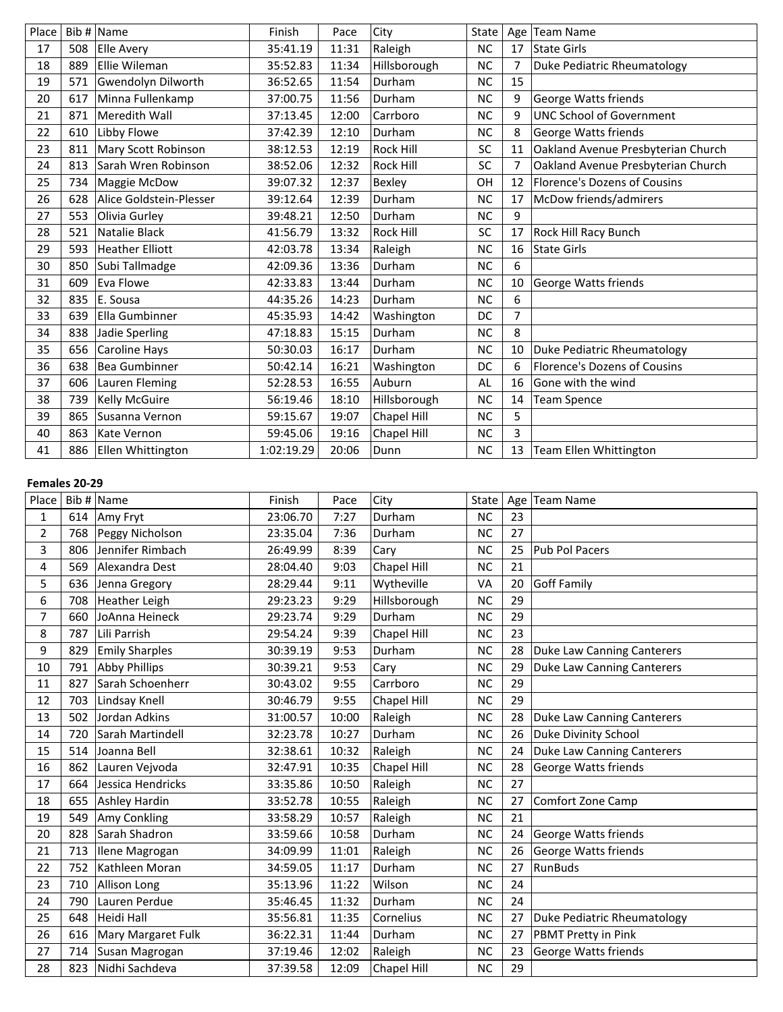| Place |     | Bib $#$ Name            | Finish     | Pace  | City             | <b>State</b> | Age            | <b>Team Name</b>                    |
|-------|-----|-------------------------|------------|-------|------------------|--------------|----------------|-------------------------------------|
| 17    | 508 | <b>Elle Avery</b>       | 35:41.19   | 11:31 | Raleigh          | <b>NC</b>    | 17             | State Girls                         |
| 18    | 889 | Ellie Wileman           | 35:52.83   | 11:34 | Hillsborough     | <b>NC</b>    | 7              | Duke Pediatric Rheumatology         |
| 19    | 571 | Gwendolyn Dilworth      | 36:52.65   | 11:54 | Durham           | <b>NC</b>    | 15             |                                     |
| 20    | 617 | Minna Fullenkamp        | 37:00.75   | 11:56 | Durham           | <b>NC</b>    | 9              | George Watts friends                |
| 21    | 871 | Meredith Wall           | 37:13.45   | 12:00 | Carrboro         | <b>NC</b>    | 9              | <b>UNC School of Government</b>     |
| 22    | 610 | Libby Flowe             | 37:42.39   | 12:10 | Durham           | <b>NC</b>    | 8              | George Watts friends                |
| 23    | 811 | Mary Scott Robinson     | 38:12.53   | 12:19 | Rock Hill        | <b>SC</b>    | 11             | Oakland Avenue Presbyterian Church  |
| 24    | 813 | Sarah Wren Robinson     | 38:52.06   | 12:32 | <b>Rock Hill</b> | <b>SC</b>    | 7              | Oakland Avenue Presbyterian Church  |
| 25    | 734 | Maggie McDow            | 39:07.32   | 12:37 | Bexley           | OH           | 12             | <b>Florence's Dozens of Cousins</b> |
| 26    | 628 | Alice Goldstein-Plesser | 39:12.64   | 12:39 | Durham           | <b>NC</b>    | 17             | McDow friends/admirers              |
| 27    | 553 | Olivia Gurley           | 39:48.21   | 12:50 | Durham           | <b>NC</b>    | 9              |                                     |
| 28    | 521 | Natalie Black           | 41:56.79   | 13:32 | Rock Hill        | SC           | 17             | <b>Rock Hill Racy Bunch</b>         |
| 29    | 593 | <b>Heather Elliott</b>  | 42:03.78   | 13:34 | Raleigh          | <b>NC</b>    | 16             | State Girls                         |
| 30    | 850 | Subi Tallmadge          | 42:09.36   | 13:36 | Durham           | <b>NC</b>    | 6              |                                     |
| 31    | 609 | Eva Flowe               | 42:33.83   | 13:44 | Durham           | <b>NC</b>    | 10             | <b>George Watts friends</b>         |
| 32    | 835 | E. Sousa                | 44:35.26   | 14:23 | Durham           | <b>NC</b>    | 6              |                                     |
| 33    | 639 | Ella Gumbinner          | 45:35.93   | 14:42 | Washington       | DC           | $\overline{7}$ |                                     |
| 34    | 838 | Jadie Sperling          | 47:18.83   | 15:15 | Durham           | <b>NC</b>    | 8              |                                     |
| 35    | 656 | Caroline Hays           | 50:30.03   | 16:17 | Durham           | <b>NC</b>    | 10             | Duke Pediatric Rheumatology         |
| 36    | 638 | <b>Bea Gumbinner</b>    | 50:42.14   | 16:21 | Washington       | DC           | 6              | <b>Florence's Dozens of Cousins</b> |
| 37    | 606 | Lauren Fleming          | 52:28.53   | 16:55 | Auburn           | AL           | 16             | Gone with the wind                  |
| 38    | 739 | Kelly McGuire           | 56:19.46   | 18:10 | Hillsborough     | <b>NC</b>    | 14             | Team Spence                         |
| 39    | 865 | Susanna Vernon          | 59:15.67   | 19:07 | Chapel Hill      | <b>NC</b>    | 5              |                                     |
| 40    | 863 | <b>Kate Vernon</b>      | 59:45.06   | 19:16 | Chapel Hill      | <b>NC</b>    | 3              |                                     |
| 41    | 886 | Ellen Whittington       | 1:02:19.29 | 20:06 | Dunn             | <b>NC</b>    | 13             | Team Ellen Whittington              |

# **Females 20-29**

| Place          |     | Bib $\#$ Name         | Finish   | Pace  | City               | State     |    | Age   Team Name                   |
|----------------|-----|-----------------------|----------|-------|--------------------|-----------|----|-----------------------------------|
| 1              | 614 | Amy Fryt              | 23:06.70 | 7:27  | Durham             | <b>NC</b> | 23 |                                   |
| $\overline{2}$ | 768 | Peggy Nicholson       | 23:35.04 | 7:36  | Durham             | <b>NC</b> | 27 |                                   |
| 3              | 806 | Jennifer Rimbach      | 26:49.99 | 8:39  | Cary               | <b>NC</b> | 25 | Pub Pol Pacers                    |
| 4              | 569 | Alexandra Dest        | 28:04.40 | 9:03  | Chapel Hill        | <b>NC</b> | 21 |                                   |
| 5              | 636 | Jenna Gregory         | 28:29.44 | 9:11  | Wytheville         | VA        | 20 | Goff Family                       |
| 6              | 708 | Heather Leigh         | 29:23.23 | 9:29  | Hillsborough       | <b>NC</b> | 29 |                                   |
| $\overline{7}$ | 660 | JoAnna Heineck        | 29:23.74 | 9:29  | Durham             | <b>NC</b> | 29 |                                   |
| 8              | 787 | Lili Parrish          | 29:54.24 | 9:39  | Chapel Hill        | <b>NC</b> | 23 |                                   |
| 9              | 829 | <b>Emily Sharples</b> | 30:39.19 | 9:53  | Durham             | <b>NC</b> | 28 | Duke Law Canning Canterers        |
| 10             | 791 | <b>Abby Phillips</b>  | 30:39.21 | 9:53  | Cary               | <b>NC</b> | 29 | <b>Duke Law Canning Canterers</b> |
| 11             | 827 | Sarah Schoenherr      | 30:43.02 | 9:55  | Carrboro           | <b>NC</b> | 29 |                                   |
| 12             | 703 | Lindsay Knell         | 30:46.79 | 9:55  | Chapel Hill        | <b>NC</b> | 29 |                                   |
| 13             | 502 | Jordan Adkins         | 31:00.57 | 10:00 | Raleigh            | <b>NC</b> | 28 | Duke Law Canning Canterers        |
| 14             | 720 | Sarah Martindell      | 32:23.78 | 10:27 | Durham             | <b>NC</b> | 26 | <b>Duke Divinity School</b>       |
| 15             | 514 | Joanna Bell           | 32:38.61 | 10:32 | Raleigh            | <b>NC</b> | 24 | Duke Law Canning Canterers        |
| 16             | 862 | Lauren Vejvoda        | 32:47.91 | 10:35 | Chapel Hill        | <b>NC</b> | 28 | George Watts friends              |
| 17             | 664 | Jessica Hendricks     | 33:35.86 | 10:50 | Raleigh            | <b>NC</b> | 27 |                                   |
| 18             | 655 | Ashley Hardin         | 33:52.78 | 10:55 | Raleigh            | <b>NC</b> | 27 | Comfort Zone Camp                 |
| 19             | 549 | Amy Conkling          | 33:58.29 | 10:57 | Raleigh            | <b>NC</b> | 21 |                                   |
| 20             | 828 | Sarah Shadron         | 33:59.66 | 10:58 | Durham             | <b>NC</b> | 24 | George Watts friends              |
| 21             | 713 | Ilene Magrogan        | 34:09.99 | 11:01 | Raleigh            | <b>NC</b> | 26 | George Watts friends              |
| 22             | 752 | Kathleen Moran        | 34:59.05 | 11:17 | Durham             | <b>NC</b> | 27 | RunBuds                           |
| 23             | 710 | Allison Long          | 35:13.96 | 11:22 | Wilson             | <b>NC</b> | 24 |                                   |
| 24             | 790 | Lauren Perdue         | 35:46.45 | 11:32 | Durham             | <b>NC</b> | 24 |                                   |
| 25             | 648 | Heidi Hall            | 35:56.81 | 11:35 | Cornelius          | <b>NC</b> | 27 | Duke Pediatric Rheumatology       |
| 26             | 616 | Mary Margaret Fulk    | 36:22.31 | 11:44 | Durham             | <b>NC</b> | 27 | PBMT Pretty in Pink               |
| 27             | 714 | Susan Magrogan        | 37:19.46 | 12:02 | Raleigh            | <b>NC</b> | 23 | George Watts friends              |
| 28             | 823 | Nidhi Sachdeva        | 37:39.58 | 12:09 | <b>Chapel Hill</b> | <b>NC</b> | 29 |                                   |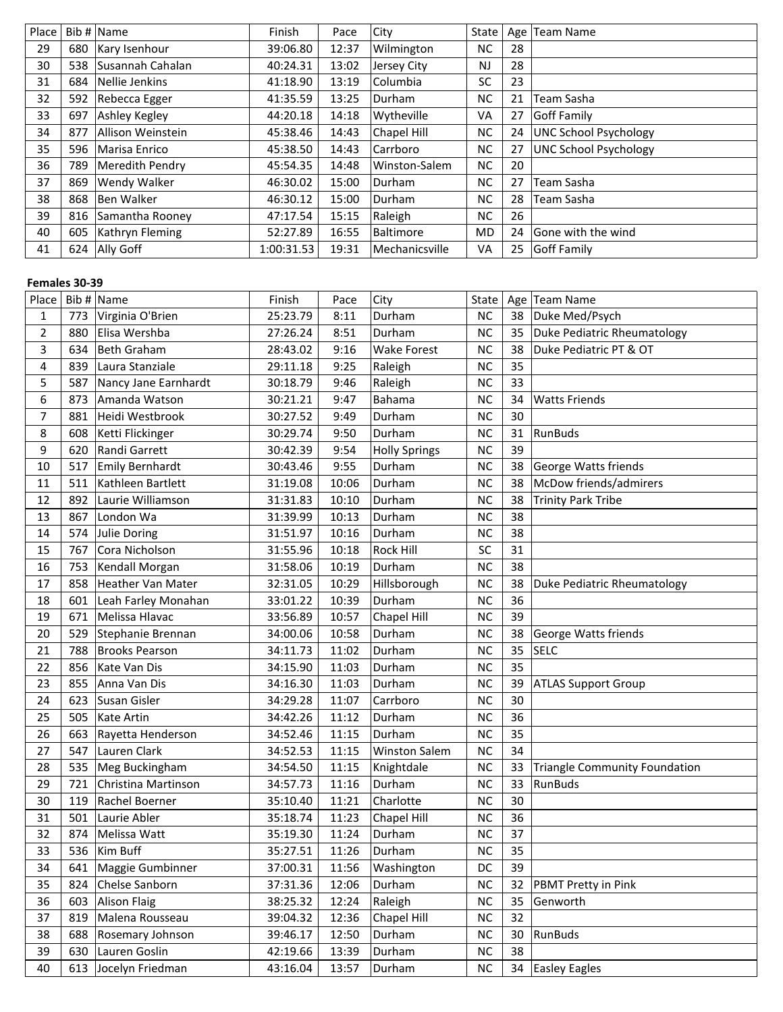| Place |     | Bib # Name        | Finish     | Pace  | City           | State     | Age | Team Name                    |
|-------|-----|-------------------|------------|-------|----------------|-----------|-----|------------------------------|
| 29    | 680 | Kary Isenhour     | 39:06.80   | 12:37 | Wilmington     | NC.       | 28  |                              |
| 30    | 538 | Susannah Cahalan  | 40:24.31   | 13:02 | Jersey City    | <b>NJ</b> | 28  |                              |
| 31    | 684 | Nellie Jenkins    | 41:18.90   | 13:19 | Columbia       | SC        | 23  |                              |
| 32    | 592 | Rebecca Egger     | 41:35.59   | 13:25 | Durham         | NC.       | 21  | Team Sasha                   |
| 33    | 697 | Ashley Kegley     | 44:20.18   | 14:18 | Wytheville     | VA        | 27  | Goff Family                  |
| 34    | 877 | Allison Weinstein | 45:38.46   | 14:43 | Chapel Hill    | NC.       | 24  | <b>UNC School Psychology</b> |
| 35    | 596 | Marisa Enrico     | 45:38.50   | 14:43 | Carrboro       | NC.       | 27  | <b>UNC School Psychology</b> |
| 36    | 789 | Meredith Pendry   | 45:54.35   | 14:48 | Winston-Salem  | <b>NC</b> | 20  |                              |
| 37    | 869 | Wendy Walker      | 46:30.02   | 15:00 | Durham         | <b>NC</b> | 27  | Team Sasha                   |
| 38    | 868 | Ben Walker        | 46:30.12   | 15:00 | Durham         | NC        | 28  | Team Sasha                   |
| 39    | 816 | Samantha Rooney   | 47:17.54   | 15:15 | Raleigh        | NC.       | 26  |                              |
| 40    | 605 | Kathryn Fleming   | 52:27.89   | 16:55 | Baltimore      | <b>MD</b> | 24  | Gone with the wind           |
| 41    |     | 624 Ally Goff     | 1:00:31.53 | 19:31 | Mechanicsville | VA        | 25  | <b>Goff Family</b>           |

# **Females 30-39**

| Place          |     | Bib $#$ Name         | Finish   | Pace  | City                 | State     |    | Age   Team Name                      |
|----------------|-----|----------------------|----------|-------|----------------------|-----------|----|--------------------------------------|
| 1              | 773 | Virginia O'Brien     | 25:23.79 | 8:11  | Durham               | <b>NC</b> | 38 | Duke Med/Psych                       |
| $\overline{2}$ | 880 | Elisa Wershba        | 27:26.24 | 8:51  | Durham               | <b>NC</b> | 35 | <b>Duke Pediatric Rheumatology</b>   |
| 3              | 634 | Beth Graham          | 28:43.02 | 9:16  | Wake Forest          | <b>NC</b> | 38 | Duke Pediatric PT & OT               |
| 4              | 839 | Laura Stanziale      | 29:11.18 | 9:25  | Raleigh              | <b>NC</b> | 35 |                                      |
| 5              | 587 | Nancy Jane Earnhardt | 30:18.79 | 9:46  | Raleigh              | NC        | 33 |                                      |
| 6              | 873 | Amanda Watson        | 30:21.21 | 9:47  | Bahama               | <b>NC</b> | 34 | <b>Watts Friends</b>                 |
| 7              | 881 | Heidi Westbrook      | 30:27.52 | 9:49  | Durham               | <b>NC</b> | 30 |                                      |
| 8              | 608 | Ketti Flickinger     | 30:29.74 | 9:50  | Durham               | <b>NC</b> | 31 | RunBuds                              |
| 9              | 620 | Randi Garrett        | 30:42.39 | 9:54  | <b>Holly Springs</b> | <b>NC</b> | 39 |                                      |
| 10             | 517 | Emily Bernhardt      | 30:43.46 | 9:55  | Durham               | NC        | 38 | George Watts friends                 |
| 11             | 511 | Kathleen Bartlett    | 31:19.08 | 10:06 | Durham               | <b>NC</b> | 38 | McDow friends/admirers               |
| 12             | 892 | Laurie Williamson    | 31:31.83 | 10:10 | Durham               | <b>NC</b> | 38 | <b>Trinity Park Tribe</b>            |
| 13             | 867 | London Wa            | 31:39.99 | 10:13 | Durham               | <b>NC</b> | 38 |                                      |
| 14             | 574 | Julie Doring         | 31:51.97 | 10:16 | Durham               | <b>NC</b> | 38 |                                      |
| 15             | 767 | Cora Nicholson       | 31:55.96 | 10:18 | Rock Hill            | SC        | 31 |                                      |
| 16             | 753 | Kendall Morgan       | 31:58.06 | 10:19 | Durham               | <b>NC</b> | 38 |                                      |
| 17             | 858 | Heather Van Mater    | 32:31.05 | 10:29 | Hillsborough         | <b>NC</b> | 38 | Duke Pediatric Rheumatology          |
| 18             | 601 | Leah Farley Monahan  | 33:01.22 | 10:39 | Durham               | <b>NC</b> | 36 |                                      |
| 19             | 671 | Melissa Hlavac       | 33:56.89 | 10:57 | Chapel Hill          | <b>NC</b> | 39 |                                      |
| 20             | 529 | Stephanie Brennan    | 34:00.06 | 10:58 | Durham               | <b>NC</b> | 38 | George Watts friends                 |
| 21             | 788 | Brooks Pearson       | 34:11.73 | 11:02 | Durham               | <b>NC</b> | 35 | <b>SELC</b>                          |
| 22             | 856 | Kate Van Dis         | 34:15.90 | 11:03 | Durham               | <b>NC</b> | 35 |                                      |
| 23             | 855 | Anna Van Dis         | 34:16.30 | 11:03 | Durham               | <b>NC</b> | 39 | <b>ATLAS Support Group</b>           |
| 24             | 623 | Susan Gisler         | 34:29.28 | 11:07 | Carrboro             | <b>NC</b> | 30 |                                      |
| 25             | 505 | <b>Kate Artin</b>    | 34:42.26 | 11:12 | Durham               | <b>NC</b> | 36 |                                      |
| 26             | 663 | Rayetta Henderson    | 34:52.46 | 11:15 | Durham               | <b>NC</b> | 35 |                                      |
| 27             | 547 | Lauren Clark         | 34:52.53 | 11:15 | <b>Winston Salem</b> | NC        | 34 |                                      |
| 28             | 535 | Meg Buckingham       | 34:54.50 | 11:15 | Knightdale           | <b>NC</b> | 33 | <b>Triangle Community Foundation</b> |
| 29             | 721 | Christina Martinson  | 34:57.73 | 11:16 | Durham               | <b>NC</b> | 33 | RunBuds                              |
| 30             | 119 | Rachel Boerner       | 35:10.40 | 11:21 | Charlotte            | <b>NC</b> | 30 |                                      |
| 31             | 501 | Laurie Abler         | 35:18.74 | 11:23 | Chapel Hill          | <b>NC</b> | 36 |                                      |
| 32             | 874 | Melissa Watt         | 35:19.30 | 11:24 | Durham               | <b>NC</b> | 37 |                                      |
| 33             | 536 | Kim Buff             | 35:27.51 | 11:26 | Durham               | <b>NC</b> | 35 |                                      |
| 34             | 641 | Maggie Gumbinner     | 37:00.31 | 11:56 | Washington           | DC        | 39 |                                      |
| 35             | 824 | Chelse Sanborn       | 37:31.36 | 12:06 | Durham               | <b>NC</b> | 32 | PBMT Pretty in Pink                  |
| 36             | 603 | <b>Alison Flaig</b>  | 38:25.32 | 12:24 | Raleigh              | $NC$      | 35 | Genworth                             |
| 37             | 819 | Malena Rousseau      | 39:04.32 | 12:36 | Chapel Hill          | NC.       | 32 |                                      |
| 38             | 688 | Rosemary Johnson     | 39:46.17 | 12:50 | Durham               | <b>NC</b> | 30 | RunBuds                              |
| 39             | 630 | Lauren Goslin        | 42:19.66 | 13:39 | Durham               | $NC$      | 38 |                                      |
| 40             | 613 | Jocelyn Friedman     | 43:16.04 | 13:57 | Durham               | NC        | 34 | <b>Easley Eagles</b>                 |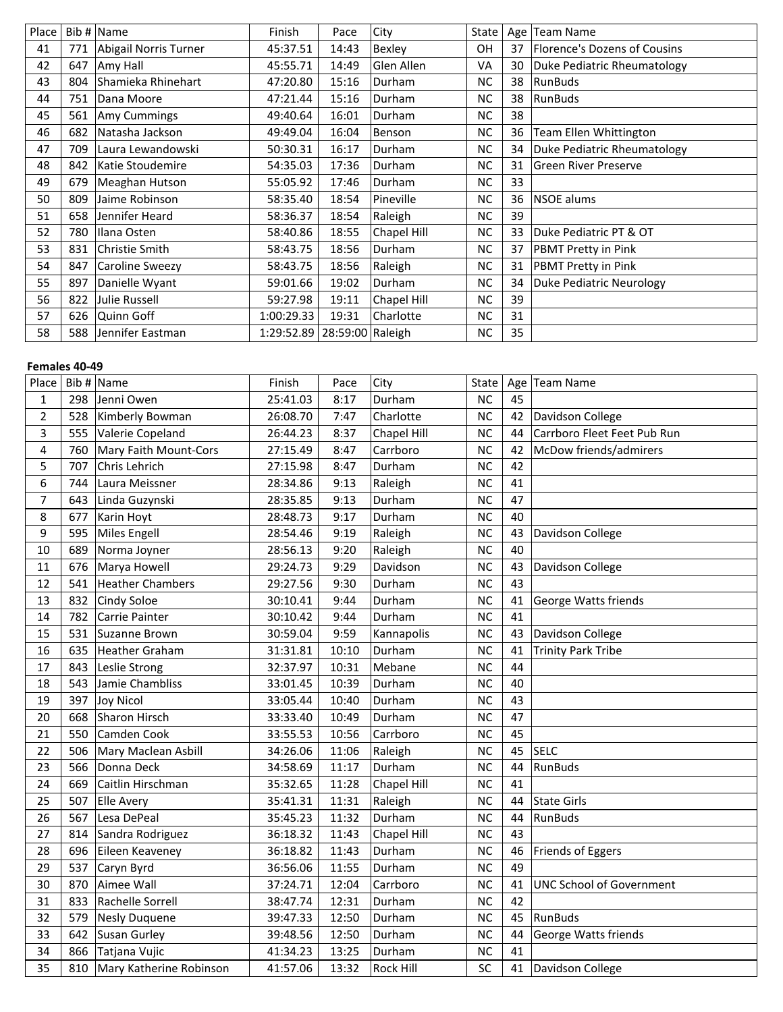| Place |     | Bib # Name             | Finish     | Pace             | City          | State     |    | Age   Team Name              |
|-------|-----|------------------------|------------|------------------|---------------|-----------|----|------------------------------|
| 41    | 771 | Abigail Norris Turner  | 45:37.51   | 14:43            | Bexley        | 0H        | 37 | Florence's Dozens of Cousins |
| 42    | 647 | Amy Hall               | 45:55.71   | 14:49            | Glen Allen    | VA        | 30 | Duke Pediatric Rheumatology  |
| 43    | 804 | Shamieka Rhinehart     | 47:20.80   | 15:16            | Durham        | <b>NC</b> | 38 | RunBuds                      |
| 44    | 751 | Dana Moore             | 47:21.44   | 15:16            | <b>Durham</b> | <b>NC</b> | 38 | RunBuds                      |
| 45    | 561 | Amy Cummings           | 49:40.64   | 16:01            | Durham        | <b>NC</b> | 38 |                              |
| 46    | 682 | Natasha Jackson        | 49:49.04   | 16:04            | Benson        | NC        | 36 | Team Ellen Whittington       |
| 47    | 709 | Laura Lewandowski      | 50:30.31   | 16:17            | Durham        | <b>NC</b> | 34 | Duke Pediatric Rheumatology  |
| 48    | 842 | Katie Stoudemire       | 54:35.03   | 17:36            | Durham        | <b>NC</b> | 31 | <b>Green River Preserve</b>  |
| 49    | 679 | Meaghan Hutson         | 55:05.92   | 17:46            | Durham        | <b>NC</b> | 33 |                              |
| 50    | 809 | Jaime Robinson         | 58:35.40   | 18:54            | Pineville     | <b>NC</b> | 36 | <b>NSOE</b> alums            |
| 51    | 658 | Jennifer Heard         | 58:36.37   | 18:54            | Raleigh       | <b>NC</b> | 39 |                              |
| 52    | 780 | Ilana Osten            | 58:40.86   | 18:55            | Chapel Hill   | <b>NC</b> | 33 | Duke Pediatric PT & OT       |
| 53    | 831 | Christie Smith         | 58:43.75   | 18:56            | Durham        | <b>NC</b> | 37 | <b>PBMT Pretty in Pink</b>   |
| 54    | 847 | <b>Caroline Sweezy</b> | 58:43.75   | 18:56            | Raleigh       | NC        | 31 | <b>PBMT Pretty in Pink</b>   |
| 55    | 897 | Danielle Wyant         | 59:01.66   | 19:02            | Durham        | <b>NC</b> | 34 | Duke Pediatric Neurology     |
| 56    | 822 | Julie Russell          | 59:27.98   | 19:11            | Chapel Hill   | <b>NC</b> | 39 |                              |
| 57    | 626 | Quinn Goff             | 1:00:29.33 | 19:31            | Charlotte     | <b>NC</b> | 31 |                              |
| 58    | 588 | Jennifer Eastman       | 1:29:52.89 | 28:59:00 Raleigh |               | <b>NC</b> | 35 |                              |

# **Females 40-49**

| Place          |     | Bib $#$ Name            | Finish   | Pace  | City             | State     |    | Age   Team Name                 |
|----------------|-----|-------------------------|----------|-------|------------------|-----------|----|---------------------------------|
| 1              | 298 | Jenni Owen              | 25:41.03 | 8:17  | Durham           | <b>NC</b> | 45 |                                 |
| $\overline{2}$ | 528 | Kimberly Bowman         | 26:08.70 | 7:47  | Charlotte        | <b>NC</b> | 42 | Davidson College                |
| 3              | 555 | Valerie Copeland        | 26:44.23 | 8:37  | Chapel Hill      | <b>NC</b> | 44 | Carrboro Fleet Feet Pub Run     |
| 4              | 760 | Mary Faith Mount-Cors   | 27:15.49 | 8:47  | Carrboro         | <b>NC</b> | 42 | McDow friends/admirers          |
| 5              | 707 | Chris Lehrich           | 27:15.98 | 8:47  | Durham           | <b>NC</b> | 42 |                                 |
| 6              | 744 | Laura Meissner          | 28:34.86 | 9:13  | Raleigh          | <b>NC</b> | 41 |                                 |
| 7              | 643 | Linda Guzynski          | 28:35.85 | 9:13  | Durham           | <b>NC</b> | 47 |                                 |
| 8              | 677 | Karin Hoyt              | 28:48.73 | 9:17  | Durham           | <b>NC</b> | 40 |                                 |
| 9              | 595 | Miles Engell            | 28:54.46 | 9:19  | Raleigh          | <b>NC</b> | 43 | Davidson College                |
| 10             | 689 | Norma Joyner            | 28:56.13 | 9:20  | Raleigh          | <b>NC</b> | 40 |                                 |
| 11             | 676 | Marya Howell            | 29:24.73 | 9:29  | Davidson         | <b>NC</b> | 43 | Davidson College                |
| 12             | 541 | Heather Chambers        | 29:27.56 | 9:30  | Durham           | NC        | 43 |                                 |
| 13             | 832 | Cindy Soloe             | 30:10.41 | 9:44  | Durham           | <b>NC</b> | 41 | George Watts friends            |
| 14             | 782 | Carrie Painter          | 30:10.42 | 9:44  | Durham           | <b>NC</b> | 41 |                                 |
| 15             | 531 | Suzanne Brown           | 30:59.04 | 9:59  | Kannapolis       | <b>NC</b> | 43 | Davidson College                |
| 16             | 635 | <b>Heather Graham</b>   | 31:31.81 | 10:10 | Durham           | <b>NC</b> | 41 | <b>Trinity Park Tribe</b>       |
| 17             | 843 | Leslie Strong           | 32:37.97 | 10:31 | Mebane           | <b>NC</b> | 44 |                                 |
| 18             | 543 | Jamie Chambliss         | 33:01.45 | 10:39 | Durham           | <b>NC</b> | 40 |                                 |
| 19             | 397 | <b>Joy Nicol</b>        | 33:05.44 | 10:40 | Durham           | <b>NC</b> | 43 |                                 |
| 20             | 668 | Sharon Hirsch           | 33:33.40 | 10:49 | Durham           | <b>NC</b> | 47 |                                 |
| 21             | 550 | Camden Cook             | 33:55.53 | 10:56 | Carrboro         | <b>NC</b> | 45 |                                 |
| 22             | 506 | Mary Maclean Asbill     | 34:26.06 | 11:06 | Raleigh          | <b>NC</b> | 45 | <b>SELC</b>                     |
| 23             | 566 | Donna Deck              | 34:58.69 | 11:17 | Durham           | <b>NC</b> | 44 | RunBuds                         |
| 24             | 669 | Caitlin Hirschman       | 35:32.65 | 11:28 | Chapel Hill      | <b>NC</b> | 41 |                                 |
| 25             | 507 | <b>Elle Avery</b>       | 35:41.31 | 11:31 | Raleigh          | <b>NC</b> | 44 | State Girls                     |
| 26             | 567 | Lesa DePeal             | 35:45.23 | 11:32 | Durham           | <b>NC</b> | 44 | RunBuds                         |
| 27             |     | 814 Sandra Rodriguez    | 36:18.32 | 11:43 | Chapel Hill      | NC        | 43 |                                 |
| 28             | 696 | Eileen Keaveney         | 36:18.82 | 11:43 | Durham           | <b>NC</b> | 46 | Friends of Eggers               |
| 29             | 537 | Caryn Byrd              | 36:56.06 | 11:55 | Durham           | <b>NC</b> | 49 |                                 |
| 30             | 870 | Aimee Wall              | 37:24.71 | 12:04 | Carrboro         | <b>NC</b> | 41 | <b>UNC School of Government</b> |
| 31             | 833 | Rachelle Sorrell        | 38:47.74 | 12:31 | Durham           | <b>NC</b> | 42 |                                 |
| 32             | 579 | <b>Nesly Duquene</b>    | 39:47.33 | 12:50 | Durham           | <b>NC</b> | 45 | RunBuds                         |
| 33             | 642 | Susan Gurley            | 39:48.56 | 12:50 | Durham           | <b>NC</b> | 44 | George Watts friends            |
| 34             | 866 | Tatjana Vujic           | 41:34.23 | 13:25 | Durham           | <b>NC</b> | 41 |                                 |
| 35             | 810 | Mary Katherine Robinson | 41:57.06 | 13:32 | <b>Rock Hill</b> | SC        |    | 41   Davidson College           |
|                |     |                         |          |       |                  |           |    |                                 |